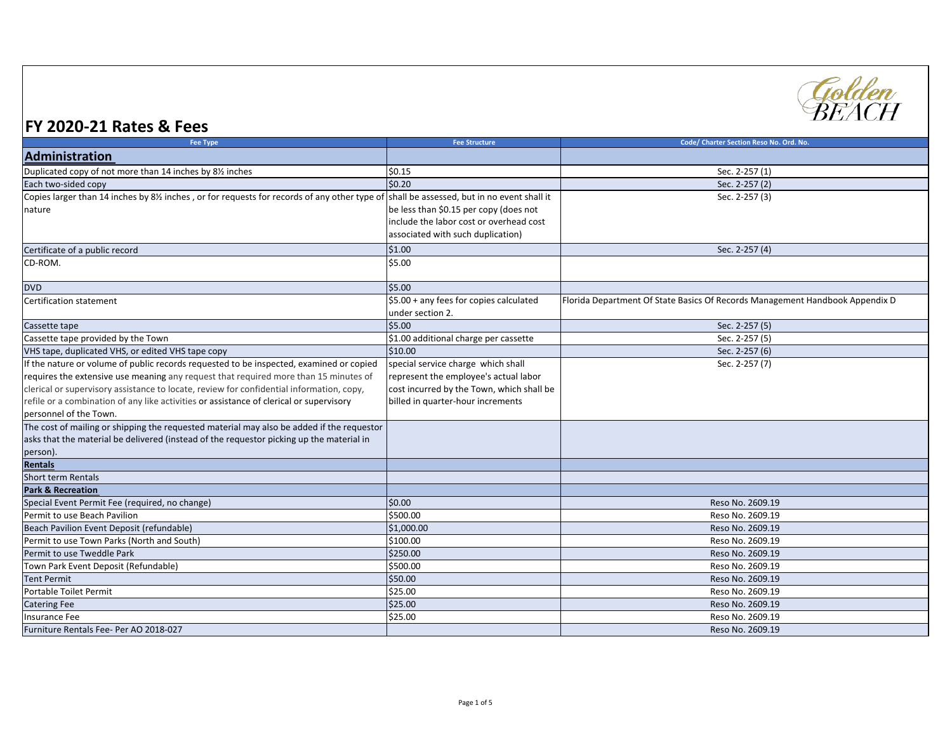

## **FY 2020-21 Rates & Fees**

| <b>Fee Type</b>                                                                             | <b>Fee Structure</b>                        | Code/ Charter Section Reso No. Ord. No.                                      |
|---------------------------------------------------------------------------------------------|---------------------------------------------|------------------------------------------------------------------------------|
| Administration                                                                              |                                             |                                                                              |
| Duplicated copy of not more than 14 inches by 81/2 inches                                   | \$0.15                                      | Sec. 2-257 (1)                                                               |
| Each two-sided copy                                                                         | \$0.20                                      | Sec. 2-257 (2)                                                               |
| Copies larger than 14 inches by 8½ inches, or for requests for records of any other type of | shall be assessed, but in no event shall it | Sec. 2-257 (3)                                                               |
| nature                                                                                      | be less than \$0.15 per copy (does not      |                                                                              |
|                                                                                             | include the labor cost or overhead cost     |                                                                              |
|                                                                                             | associated with such duplication)           |                                                                              |
| Certificate of a public record                                                              | \$1.00                                      | Sec. 2-257 (4)                                                               |
| CD-ROM.                                                                                     | \$5.00                                      |                                                                              |
|                                                                                             |                                             |                                                                              |
| <b>DVD</b>                                                                                  | \$5.00                                      |                                                                              |
| Certification statement                                                                     | \$5.00 + any fees for copies calculated     | Florida Department Of State Basics Of Records Management Handbook Appendix D |
|                                                                                             | under section 2.                            |                                                                              |
| Cassette tape                                                                               | \$5.00                                      | Sec. 2-257 (5)                                                               |
| Cassette tape provided by the Town                                                          | \$1.00 additional charge per cassette       | Sec. 2-257 (5)                                                               |
| VHS tape, duplicated VHS, or edited VHS tape copy                                           | \$10.00                                     | Sec. 2-257 (6)                                                               |
| If the nature or volume of public records requested to be inspected, examined or copied     | special service charge which shall          | Sec. 2-257 (7)                                                               |
| requires the extensive use meaning any request that required more than 15 minutes of        | represent the employee's actual labor       |                                                                              |
| clerical or supervisory assistance to locate, review for confidential information, copy,    | cost incurred by the Town, which shall be   |                                                                              |
| refile or a combination of any like activities or assistance of clerical or supervisory     | billed in quarter-hour increments           |                                                                              |
| personnel of the Town.                                                                      |                                             |                                                                              |
| The cost of mailing or shipping the requested material may also be added if the requestor   |                                             |                                                                              |
| asks that the material be delivered (instead of the requestor picking up the material in    |                                             |                                                                              |
| person).                                                                                    |                                             |                                                                              |
| Rentals                                                                                     |                                             |                                                                              |
| Short term Rentals                                                                          |                                             |                                                                              |
| <b>Park &amp; Recreation</b>                                                                |                                             |                                                                              |
| Special Event Permit Fee (required, no change)                                              | \$0.00                                      | Reso No. 2609.19                                                             |
| Permit to use Beach Pavilion                                                                | \$500.00                                    | Reso No. 2609.19                                                             |
| Beach Pavilion Event Deposit (refundable)                                                   | \$1,000.00                                  | Reso No. 2609.19                                                             |
| Permit to use Town Parks (North and South)                                                  | \$100.00                                    | Reso No. 2609.19                                                             |
| Permit to use Tweddle Park                                                                  | \$250.00                                    | Reso No. 2609.19                                                             |
| Town Park Event Deposit (Refundable)                                                        | \$500.00                                    | Reso No. 2609.19                                                             |
| <b>Tent Permit</b>                                                                          | \$50.00                                     | Reso No. 2609.19                                                             |
| Portable Toilet Permit                                                                      | \$25.00                                     | Reso No. 2609.19                                                             |
| <b>Catering Fee</b>                                                                         | \$25.00                                     | Reso No. 2609.19                                                             |
| <b>Insurance Fee</b>                                                                        | \$25.00                                     | Reso No. 2609.19                                                             |
| Furniture Rentals Fee- Per AO 2018-027                                                      |                                             | Reso No. 2609.19                                                             |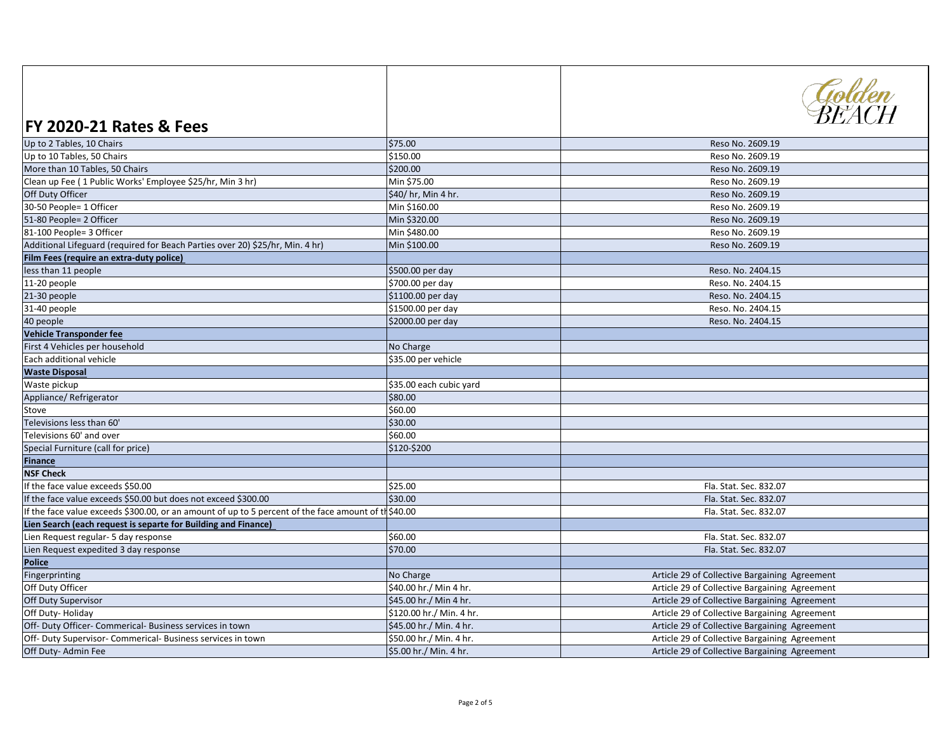| <b>FY 2020-21 Rates &amp; Fees</b>                                                                  |                          | Golden<br>REACH                               |
|-----------------------------------------------------------------------------------------------------|--------------------------|-----------------------------------------------|
| Up to 2 Tables, 10 Chairs                                                                           | \$75.00                  | Reso No. 2609.19                              |
| Up to 10 Tables, 50 Chairs                                                                          | \$150.00                 | Reso No. 2609.19                              |
| More than 10 Tables, 50 Chairs                                                                      | \$200.00                 | Reso No. 2609.19                              |
| Clean up Fee (1 Public Works' Employee \$25/hr, Min 3 hr)                                           | Min \$75.00              | Reso No. 2609.19                              |
| Off Duty Officer                                                                                    | \$40/ hr, Min 4 hr.      | Reso No. 2609.19                              |
| 30-50 People= 1 Officer                                                                             | Min \$160.00             | Reso No. 2609.19                              |
| 51-80 People= 2 Officer                                                                             | Min \$320.00             | Reso No. 2609.19                              |
| 81-100 People= 3 Officer                                                                            | Min \$480.00             | Reso No. 2609.19                              |
| Additional Lifeguard (required for Beach Parties over 20) \$25/hr, Min. 4 hr)                       | Min \$100.00             | Reso No. 2609.19                              |
| Film Fees (require an extra-duty police)                                                            |                          |                                               |
| less than 11 people                                                                                 | \$500.00 per day         | Reso. No. 2404.15                             |
| 11-20 people                                                                                        | \$700.00 per day         | Reso. No. 2404.15                             |
| 21-30 people                                                                                        | \$1100.00 per day        | Reso. No. 2404.15                             |
| 31-40 people                                                                                        | \$1500.00 per day        | Reso. No. 2404.15                             |
| 40 people                                                                                           | \$2000.00 per day        | Reso. No. 2404.15                             |
| <b>Vehicle Transponder fee</b>                                                                      |                          |                                               |
| First 4 Vehicles per household                                                                      | No Charge                |                                               |
| Each additional vehicle                                                                             | \$35.00 per vehicle      |                                               |
| <b>Waste Disposal</b>                                                                               |                          |                                               |
| Waste pickup                                                                                        | \$35.00 each cubic yard  |                                               |
| Appliance/Refrigerator                                                                              | \$80.00                  |                                               |
| Stove                                                                                               | \$60.00                  |                                               |
| Televisions less than 60'                                                                           | \$30.00                  |                                               |
| Televisions 60' and over                                                                            | \$60.00                  |                                               |
| Special Furniture (call for price)                                                                  | \$120-\$200              |                                               |
| Finance                                                                                             |                          |                                               |
| <b>NSF Check</b>                                                                                    |                          |                                               |
| If the face value exceeds \$50.00                                                                   | \$25.00                  | Fla. Stat. Sec. 832.07                        |
| If the face value exceeds \$50.00 but does not exceed \$300.00                                      | \$30.00                  | Fla. Stat. Sec. 832.07                        |
| If the face value exceeds \$300.00, or an amount of up to 5 percent of the face amount of th\$40.00 |                          | Fla. Stat. Sec. 832.07                        |
| Lien Search (each request is separte for Building and Finance)                                      |                          |                                               |
| Lien Request regular- 5 day response                                                                | \$60.00                  | Fla. Stat. Sec. 832.07                        |
| Lien Request expedited 3 day response                                                               | \$70.00                  | Fla. Stat. Sec. 832.07                        |
| <b>Police</b>                                                                                       |                          |                                               |
| Fingerprinting                                                                                      | No Charge                | Article 29 of Collective Bargaining Agreement |
| Off Duty Officer                                                                                    | \$40.00 hr./ Min 4 hr.   | Article 29 of Collective Bargaining Agreement |
| Off Duty Supervisor                                                                                 | \$45.00 hr./ Min 4 hr.   | Article 29 of Collective Bargaining Agreement |
| Off Duty-Holiday                                                                                    | \$120.00 hr./ Min. 4 hr. | Article 29 of Collective Bargaining Agreement |
| Off- Duty Officer- Commerical- Business services in town                                            | \$45.00 hr./ Min. 4 hr.  | Article 29 of Collective Bargaining Agreement |
| Off- Duty Supervisor- Commerical- Business services in town                                         | \$50.00 hr./ Min. 4 hr.  | Article 29 of Collective Bargaining Agreement |
| Off Duty- Admin Fee                                                                                 | \$5.00 hr./ Min. 4 hr.   | Article 29 of Collective Bargaining Agreement |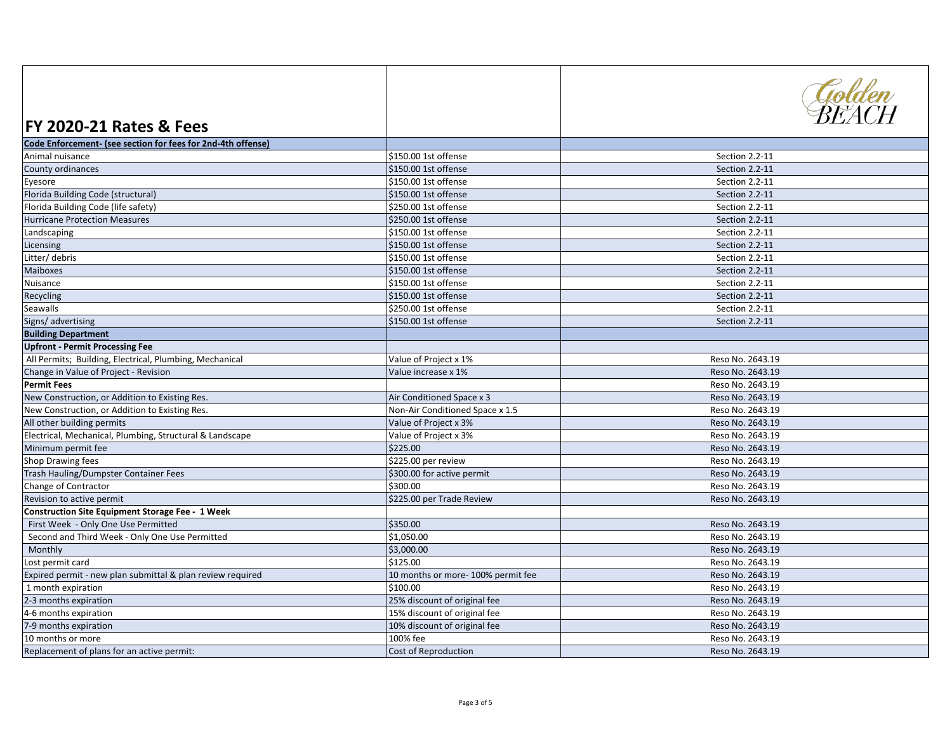| <b>FY 2020-21 Rates &amp; Fees</b>                           |                                   | Golden<br>BEACH  |
|--------------------------------------------------------------|-----------------------------------|------------------|
| Code Enforcement- (see section for fees for 2nd-4th offense) |                                   |                  |
| Animal nuisance                                              | \$150.00 1st offense              | Section 2.2-11   |
| County ordinances                                            | \$150.00 1st offense              | Section 2.2-11   |
| Eyesore                                                      | \$150.00 1st offense              | Section 2.2-11   |
| Florida Building Code (structural)                           | \$150.00 1st offense              | Section 2.2-11   |
| Florida Building Code (life safety)                          | \$250.00 1st offense              | Section 2.2-11   |
| <b>Hurricane Protection Measures</b>                         | \$250.00 1st offense              | Section 2.2-11   |
| Landscaping                                                  | \$150.00 1st offense              | Section 2.2-11   |
| Licensing                                                    | \$150.00 1st offense              | Section 2.2-11   |
| Litter/ debris                                               | \$150.00 1st offense              | Section 2.2-11   |
| Maiboxes                                                     | \$150.00 1st offense              | Section 2.2-11   |
| Nuisance                                                     | \$150.00 1st offense              | Section 2.2-11   |
| Recycling                                                    | \$150.00 1st offense              | Section 2.2-11   |
| Seawalls                                                     | \$250.00 1st offense              | Section 2.2-11   |
| Signs/ advertising                                           | \$150.00 1st offense              | Section 2.2-11   |
| <b>Building Department</b>                                   |                                   |                  |
| <b>Upfront - Permit Processing Fee</b>                       |                                   |                  |
| All Permits; Building, Electrical, Plumbing, Mechanical      | Value of Project x 1%             | Reso No. 2643.19 |
| Change in Value of Project - Revision                        | Value increase x 1%               | Reso No. 2643.19 |
| <b>Permit Fees</b>                                           |                                   | Reso No. 2643.19 |
| New Construction, or Addition to Existing Res.               | Air Conditioned Space x 3         | Reso No. 2643.19 |
| New Construction, or Addition to Existing Res.               | Non-Air Conditioned Space x 1.5   | Reso No. 2643.19 |
| All other building permits                                   | Value of Project x 3%             | Reso No. 2643.19 |
| Electrical, Mechanical, Plumbing, Structural & Landscape     | Value of Project x 3%             | Reso No. 2643.19 |
| Minimum permit fee                                           | \$225.00                          | Reso No. 2643.19 |
| Shop Drawing fees                                            | \$225.00 per review               | Reso No. 2643.19 |
| Trash Hauling/Dumpster Container Fees                        | \$300.00 for active permit        | Reso No. 2643.19 |
| Change of Contractor                                         | \$300.00                          | Reso No. 2643.19 |
| Revision to active permit                                    | \$225.00 per Trade Review         | Reso No. 2643.19 |
| <b>Construction Site Equipment Storage Fee - 1 Week</b>      |                                   |                  |
| First Week - Only One Use Permitted                          | \$350.00                          | Reso No. 2643.19 |
| Second and Third Week - Only One Use Permitted               | \$1,050.00                        | Reso No. 2643.19 |
| Monthly                                                      | \$3,000.00                        | Reso No. 2643.19 |
| Lost permit card                                             | \$125.00                          | Reso No. 2643.19 |
| Expired permit - new plan submittal & plan review required   | 10 months or more-100% permit fee | Reso No. 2643.19 |
| 1 month expiration                                           | \$100.00                          | Reso No. 2643.19 |
| 2-3 months expiration                                        | 25% discount of original fee      | Reso No. 2643.19 |
| 4-6 months expiration                                        | 15% discount of original fee      | Reso No. 2643.19 |
| 7-9 months expiration                                        | 10% discount of original fee      | Reso No. 2643.19 |
| 10 months or more                                            | 100% fee                          | Reso No. 2643.19 |
| Replacement of plans for an active permit:                   | <b>Cost of Reproduction</b>       | Reso No. 2643.19 |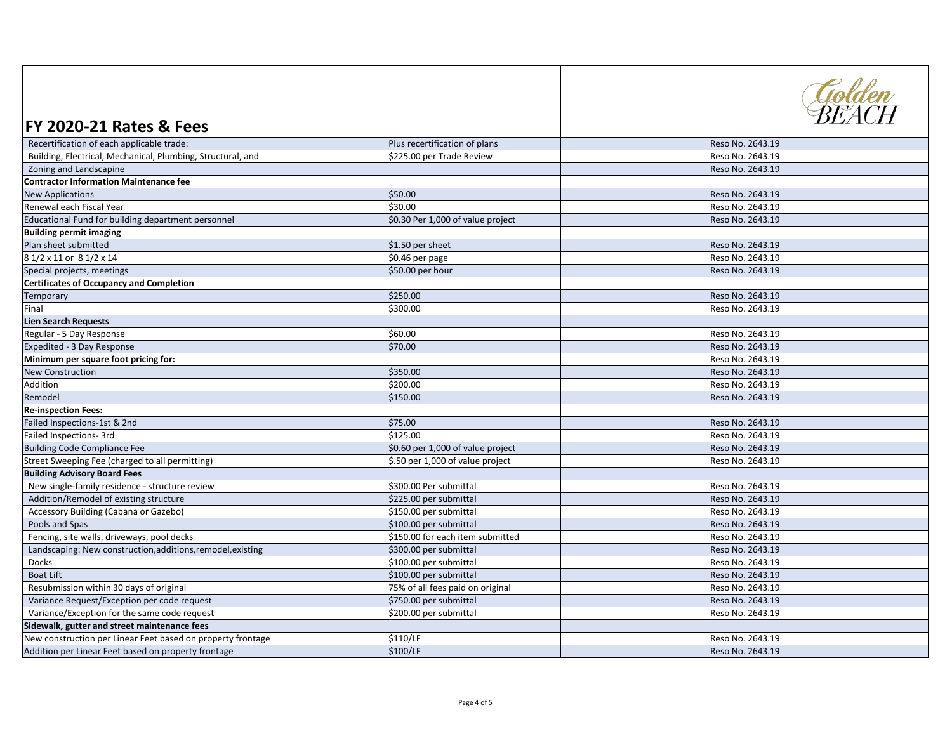| \$225.00 per Trade Review<br>Reso No. 2643.19<br>Building, Electrical, Mechanical, Plumbing, Structural, and<br>Zoning and Landscapine<br>Reso No. 2643.19<br><b>Contractor Information Maintenance fee</b><br>\$50.00<br><b>New Applications</b><br>Reso No. 2643.19<br>\$30.00<br>Renewal each Fiscal Year<br>Reso No. 2643.19<br>Educational Fund for building department personnel<br>\$0.30 Per 1,000 of value project<br>Reso No. 2643.19<br><b>Building permit imaging</b><br>Plan sheet submitted<br>\$1.50 per sheet<br>Reso No. 2643.19<br>8 1/2 x 11 or 8 1/2 x 14<br>\$0.46 per page<br>Reso No. 2643.19<br>\$50.00 per hour<br>Reso No. 2643.19<br>Special projects, meetings<br><b>Certificates of Occupancy and Completion</b><br>\$250.00<br>Reso No. 2643.19<br>Temporary<br>\$300.00<br>Final<br>Reso No. 2643.19<br><b>Lien Search Requests</b><br>\$60.00<br>Regular - 5 Day Response<br>Reso No. 2643.19<br>\$70.00<br>Expedited - 3 Day Response<br>Reso No. 2643.19<br>Minimum per square foot pricing for:<br>Reso No. 2643.19<br>\$350.00<br><b>New Construction</b><br>Reso No. 2643.19<br>\$200.00<br>Addition<br>Reso No. 2643.19<br>\$150.00<br>Remodel<br>Reso No. 2643.19<br><b>Re-inspection Fees:</b><br>\$75.00<br>Failed Inspections-1st & 2nd<br>Reso No. 2643.19 | <b>FY 2020-21 Rates &amp; Fees</b>        |                               | Golden<br>RFACH  |
|-------------------------------------------------------------------------------------------------------------------------------------------------------------------------------------------------------------------------------------------------------------------------------------------------------------------------------------------------------------------------------------------------------------------------------------------------------------------------------------------------------------------------------------------------------------------------------------------------------------------------------------------------------------------------------------------------------------------------------------------------------------------------------------------------------------------------------------------------------------------------------------------------------------------------------------------------------------------------------------------------------------------------------------------------------------------------------------------------------------------------------------------------------------------------------------------------------------------------------------------------------------------------------------------------------|-------------------------------------------|-------------------------------|------------------|
|                                                                                                                                                                                                                                                                                                                                                                                                                                                                                                                                                                                                                                                                                                                                                                                                                                                                                                                                                                                                                                                                                                                                                                                                                                                                                                       | Recertification of each applicable trade: | Plus recertification of plans | Reso No. 2643.19 |
|                                                                                                                                                                                                                                                                                                                                                                                                                                                                                                                                                                                                                                                                                                                                                                                                                                                                                                                                                                                                                                                                                                                                                                                                                                                                                                       |                                           |                               |                  |
|                                                                                                                                                                                                                                                                                                                                                                                                                                                                                                                                                                                                                                                                                                                                                                                                                                                                                                                                                                                                                                                                                                                                                                                                                                                                                                       |                                           |                               |                  |
|                                                                                                                                                                                                                                                                                                                                                                                                                                                                                                                                                                                                                                                                                                                                                                                                                                                                                                                                                                                                                                                                                                                                                                                                                                                                                                       |                                           |                               |                  |
|                                                                                                                                                                                                                                                                                                                                                                                                                                                                                                                                                                                                                                                                                                                                                                                                                                                                                                                                                                                                                                                                                                                                                                                                                                                                                                       |                                           |                               |                  |
|                                                                                                                                                                                                                                                                                                                                                                                                                                                                                                                                                                                                                                                                                                                                                                                                                                                                                                                                                                                                                                                                                                                                                                                                                                                                                                       |                                           |                               |                  |
|                                                                                                                                                                                                                                                                                                                                                                                                                                                                                                                                                                                                                                                                                                                                                                                                                                                                                                                                                                                                                                                                                                                                                                                                                                                                                                       |                                           |                               |                  |
|                                                                                                                                                                                                                                                                                                                                                                                                                                                                                                                                                                                                                                                                                                                                                                                                                                                                                                                                                                                                                                                                                                                                                                                                                                                                                                       |                                           |                               |                  |
|                                                                                                                                                                                                                                                                                                                                                                                                                                                                                                                                                                                                                                                                                                                                                                                                                                                                                                                                                                                                                                                                                                                                                                                                                                                                                                       |                                           |                               |                  |
|                                                                                                                                                                                                                                                                                                                                                                                                                                                                                                                                                                                                                                                                                                                                                                                                                                                                                                                                                                                                                                                                                                                                                                                                                                                                                                       |                                           |                               |                  |
|                                                                                                                                                                                                                                                                                                                                                                                                                                                                                                                                                                                                                                                                                                                                                                                                                                                                                                                                                                                                                                                                                                                                                                                                                                                                                                       |                                           |                               |                  |
|                                                                                                                                                                                                                                                                                                                                                                                                                                                                                                                                                                                                                                                                                                                                                                                                                                                                                                                                                                                                                                                                                                                                                                                                                                                                                                       |                                           |                               |                  |
|                                                                                                                                                                                                                                                                                                                                                                                                                                                                                                                                                                                                                                                                                                                                                                                                                                                                                                                                                                                                                                                                                                                                                                                                                                                                                                       |                                           |                               |                  |
|                                                                                                                                                                                                                                                                                                                                                                                                                                                                                                                                                                                                                                                                                                                                                                                                                                                                                                                                                                                                                                                                                                                                                                                                                                                                                                       |                                           |                               |                  |
|                                                                                                                                                                                                                                                                                                                                                                                                                                                                                                                                                                                                                                                                                                                                                                                                                                                                                                                                                                                                                                                                                                                                                                                                                                                                                                       |                                           |                               |                  |
|                                                                                                                                                                                                                                                                                                                                                                                                                                                                                                                                                                                                                                                                                                                                                                                                                                                                                                                                                                                                                                                                                                                                                                                                                                                                                                       |                                           |                               |                  |
|                                                                                                                                                                                                                                                                                                                                                                                                                                                                                                                                                                                                                                                                                                                                                                                                                                                                                                                                                                                                                                                                                                                                                                                                                                                                                                       |                                           |                               |                  |
|                                                                                                                                                                                                                                                                                                                                                                                                                                                                                                                                                                                                                                                                                                                                                                                                                                                                                                                                                                                                                                                                                                                                                                                                                                                                                                       |                                           |                               |                  |
|                                                                                                                                                                                                                                                                                                                                                                                                                                                                                                                                                                                                                                                                                                                                                                                                                                                                                                                                                                                                                                                                                                                                                                                                                                                                                                       |                                           |                               |                  |
|                                                                                                                                                                                                                                                                                                                                                                                                                                                                                                                                                                                                                                                                                                                                                                                                                                                                                                                                                                                                                                                                                                                                                                                                                                                                                                       |                                           |                               |                  |
|                                                                                                                                                                                                                                                                                                                                                                                                                                                                                                                                                                                                                                                                                                                                                                                                                                                                                                                                                                                                                                                                                                                                                                                                                                                                                                       |                                           |                               |                  |
|                                                                                                                                                                                                                                                                                                                                                                                                                                                                                                                                                                                                                                                                                                                                                                                                                                                                                                                                                                                                                                                                                                                                                                                                                                                                                                       |                                           |                               |                  |
|                                                                                                                                                                                                                                                                                                                                                                                                                                                                                                                                                                                                                                                                                                                                                                                                                                                                                                                                                                                                                                                                                                                                                                                                                                                                                                       |                                           |                               |                  |
|                                                                                                                                                                                                                                                                                                                                                                                                                                                                                                                                                                                                                                                                                                                                                                                                                                                                                                                                                                                                                                                                                                                                                                                                                                                                                                       | Failed Inspections- 3rd                   | \$125.00                      | Reso No. 2643.19 |
| \$0.60 per 1,000 of value project<br>Reso No. 2643.19<br><b>Building Code Compliance Fee</b>                                                                                                                                                                                                                                                                                                                                                                                                                                                                                                                                                                                                                                                                                                                                                                                                                                                                                                                                                                                                                                                                                                                                                                                                          |                                           |                               |                  |
| Street Sweeping Fee (charged to all permitting)<br>\$.50 per 1,000 of value project<br>Reso No. 2643.19                                                                                                                                                                                                                                                                                                                                                                                                                                                                                                                                                                                                                                                                                                                                                                                                                                                                                                                                                                                                                                                                                                                                                                                               |                                           |                               |                  |
| <b>Building Advisory Board Fees</b>                                                                                                                                                                                                                                                                                                                                                                                                                                                                                                                                                                                                                                                                                                                                                                                                                                                                                                                                                                                                                                                                                                                                                                                                                                                                   |                                           |                               |                  |
| New single-family residence - structure review<br>\$300.00 Per submittal<br>Reso No. 2643.19                                                                                                                                                                                                                                                                                                                                                                                                                                                                                                                                                                                                                                                                                                                                                                                                                                                                                                                                                                                                                                                                                                                                                                                                          |                                           |                               |                  |
| Addition/Remodel of existing structure<br>\$225.00 per submittal<br>Reso No. 2643.19                                                                                                                                                                                                                                                                                                                                                                                                                                                                                                                                                                                                                                                                                                                                                                                                                                                                                                                                                                                                                                                                                                                                                                                                                  |                                           |                               |                  |
| \$150.00 per submittal<br>Accessory Building (Cabana or Gazebo)<br>Reso No. 2643.19                                                                                                                                                                                                                                                                                                                                                                                                                                                                                                                                                                                                                                                                                                                                                                                                                                                                                                                                                                                                                                                                                                                                                                                                                   |                                           |                               |                  |
| Pools and Spas<br>\$100.00 per submittal<br>Reso No. 2643.19                                                                                                                                                                                                                                                                                                                                                                                                                                                                                                                                                                                                                                                                                                                                                                                                                                                                                                                                                                                                                                                                                                                                                                                                                                          |                                           |                               |                  |
| Fencing, site walls, driveways, pool decks<br>\$150.00 for each item submitted<br>Reso No. 2643.19                                                                                                                                                                                                                                                                                                                                                                                                                                                                                                                                                                                                                                                                                                                                                                                                                                                                                                                                                                                                                                                                                                                                                                                                    |                                           |                               |                  |
| Landscaping: New construction, additions, remodel, existing<br>\$300.00 per submittal<br>Reso No. 2643.19                                                                                                                                                                                                                                                                                                                                                                                                                                                                                                                                                                                                                                                                                                                                                                                                                                                                                                                                                                                                                                                                                                                                                                                             |                                           |                               |                  |
| Docks<br>\$100.00 per submittal<br>Reso No. 2643.19                                                                                                                                                                                                                                                                                                                                                                                                                                                                                                                                                                                                                                                                                                                                                                                                                                                                                                                                                                                                                                                                                                                                                                                                                                                   |                                           |                               |                  |
| <b>Boat Lift</b><br>\$100.00 per submittal<br>Reso No. 2643.19                                                                                                                                                                                                                                                                                                                                                                                                                                                                                                                                                                                                                                                                                                                                                                                                                                                                                                                                                                                                                                                                                                                                                                                                                                        |                                           |                               |                  |
| 75% of all fees paid on original<br>Resubmission within 30 days of original<br>Reso No. 2643.19                                                                                                                                                                                                                                                                                                                                                                                                                                                                                                                                                                                                                                                                                                                                                                                                                                                                                                                                                                                                                                                                                                                                                                                                       |                                           |                               |                  |
| Variance Request/Exception per code request<br>\$750.00 per submittal<br>Reso No. 2643.19                                                                                                                                                                                                                                                                                                                                                                                                                                                                                                                                                                                                                                                                                                                                                                                                                                                                                                                                                                                                                                                                                                                                                                                                             |                                           |                               |                  |
| \$200.00 per submittal<br>Variance/Exception for the same code request<br>Reso No. 2643.19                                                                                                                                                                                                                                                                                                                                                                                                                                                                                                                                                                                                                                                                                                                                                                                                                                                                                                                                                                                                                                                                                                                                                                                                            |                                           |                               |                  |
| Sidewalk, gutter and street maintenance fees                                                                                                                                                                                                                                                                                                                                                                                                                                                                                                                                                                                                                                                                                                                                                                                                                                                                                                                                                                                                                                                                                                                                                                                                                                                          |                                           |                               |                  |
| \$110/LF<br>New construction per Linear Feet based on property frontage<br>Reso No. 2643.19                                                                                                                                                                                                                                                                                                                                                                                                                                                                                                                                                                                                                                                                                                                                                                                                                                                                                                                                                                                                                                                                                                                                                                                                           |                                           |                               |                  |
| \$100/LF<br>Addition per Linear Feet based on property frontage<br>Reso No. 2643.19                                                                                                                                                                                                                                                                                                                                                                                                                                                                                                                                                                                                                                                                                                                                                                                                                                                                                                                                                                                                                                                                                                                                                                                                                   |                                           |                               |                  |